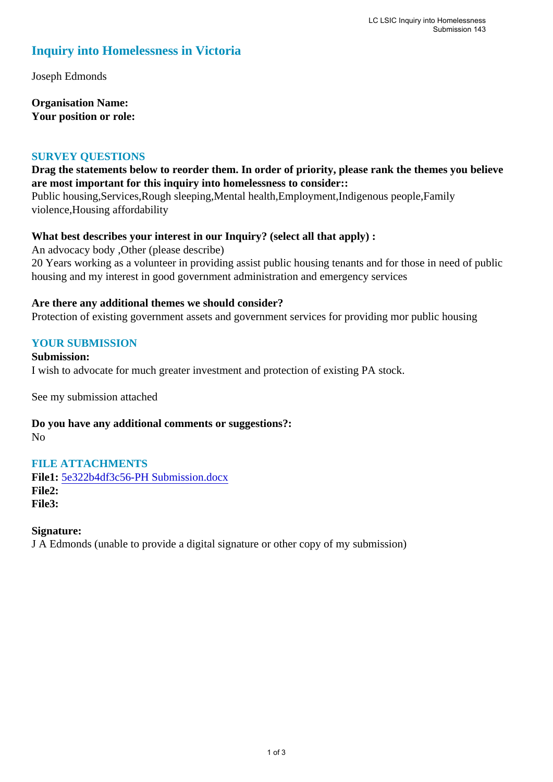# **Inquiry into Homelessness in Victoria**

Joseph Edmonds

**Organisation Name: Your position or role:** 

#### **SURVEY QUESTIONS**

## **Drag the statements below to reorder them. In order of priority, please rank the themes you believe are most important for this inquiry into homelessness to consider::**

Public housing,Services,Rough sleeping,Mental health,Employment,Indigenous people,Family violence,Housing affordability

### **What best describes your interest in our Inquiry? (select all that apply) :**

An advocacy body ,Other (please describe) 20 Years working as a volunteer in providing assist public housing tenants and for those in need of public housing and my interest in good government administration and emergency services

### **Are there any additional themes we should consider?**

Protection of existing government assets and government services for providing mor public housing

## **YOUR SUBMISSION**

**Submission:**  I wish to advocate for much greater investment and protection of existing PA stock.

See my submission attached

**Do you have any additional comments or suggestions?:**  No

## **FILE ATTACHMENTS**

**File1:** [5e322b4df3c56-PH Submission.docx](https://www.parliament.vic.gov.au/component/rsform/submission-view-file/8f7e31efeb18f54801f88443d2fffe04/0b80b720331cb563960c8b5d0909c125?Itemid=527) **File2: File3:** 

#### **Signature:**

J A Edmonds (unable to provide a digital signature or other copy of my submission)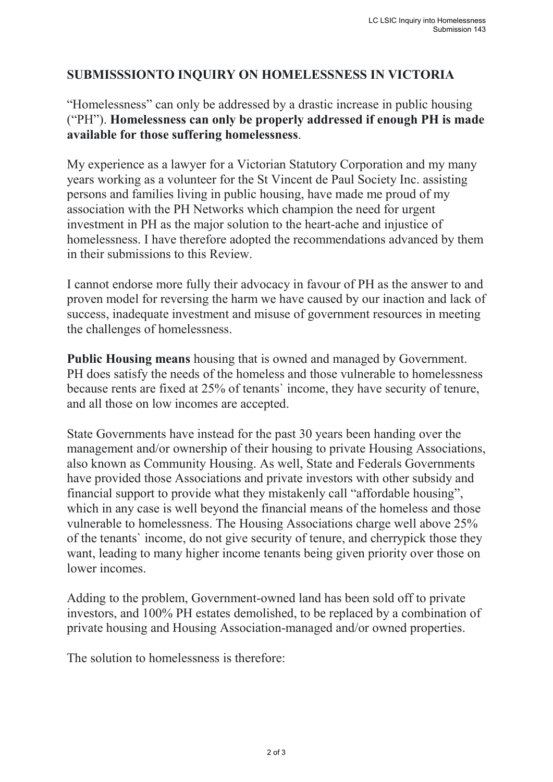## **SUBMISSSIONTO INQUIRY ON HOMELESSNESS IN VICTORIA**

"Homelessness" can only be addressed by a drastic increase in public housing ("PH"). **Homelessness can only be properly addressed if enough PH is made available for those suffering homelessness**.

My experience as a lawyer for a Victorian Statutory Corporation and my many years working as a volunteer for the St Vincent de Paul Society Inc. assisting persons and families living in public housing, have made me proud of my association with the PH Networks which champion the need for urgent investment in PH as the major solution to the heart-ache and injustice of homelessness. I have therefore adopted the recommendations advanced by them in their submissions to this Review.

I cannot endorse more fully their advocacy in favour of PH as the answer to and proven model for reversing the harm we have caused by our inaction and lack of success, inadequate investment and misuse of government resources in meeting the challenges of homelessness.

**Public Housing means** housing that is owned and managed by Government. PH does satisfy the needs of the homeless and those vulnerable to homelessness because rents are fixed at 25% of tenants` income, they have security of tenure, and all those on low incomes are accepted.

State Governments have instead for the past 30 years been handing over the management and/or ownership of their housing to private Housing Associations, also known as Community Housing. As well, State and Federals Governments have provided those Associations and private investors with other subsidy and financial support to provide what they mistakenly call "affordable housing", which in any case is well beyond the financial means of the homeless and those vulnerable to homelessness. The Housing Associations charge well above 25% of the tenants` income, do not give security of tenure, and cherrypick those they want, leading to many higher income tenants being given priority over those on lower incomes.

Adding to the problem, Government-owned land has been sold off to private investors, and 100% PH estates demolished, to be replaced by a combination of private housing and Housing Association-managed and/or owned properties.

The solution to homelessness is therefore: